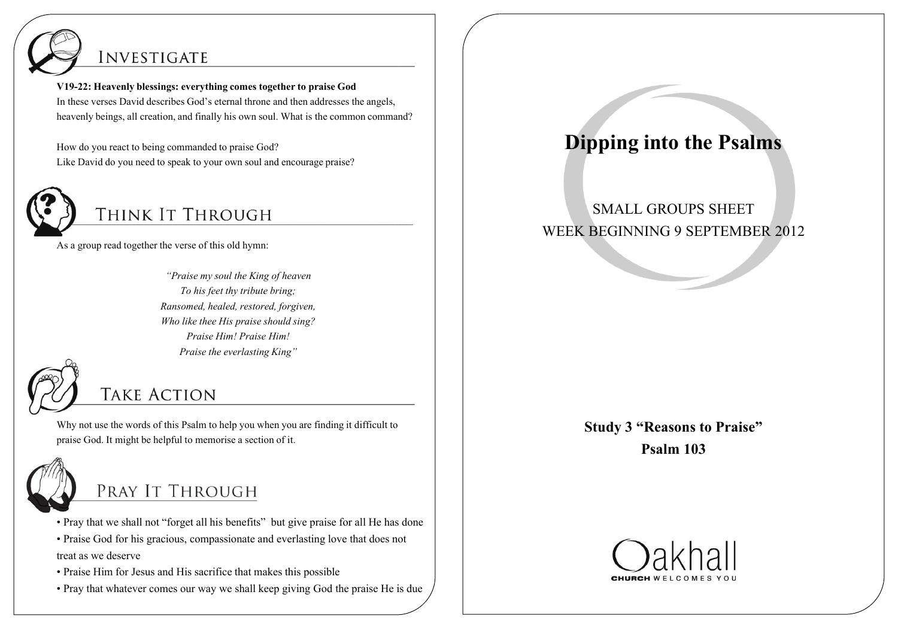

### **INVESTIGATE**

**V19-22: Heavenly blessings: everything comes together to praise God** In these verses David describes God's eternal throne and then addresses the angels, heavenly beings, all creation, and finally his own soul. What is the common command?

How do you react to being commanded to praise God? Like David do you need to speak to your own soul and encourage praise?



# THINK IT THROUGH

As a group read together the verse of this old hymn:

*"Praise my soul the King of heaven To his feet thy tribute bring; Ransomed, healed, restored, forgiven, Who like thee His praise should sing? Praise Him! Praise Him! Praise the everlasting King"*



## **TAKE ACTION**

Why not use the words of this Psalm to help you when you are finding it difficult to praise God. It might be helpful to memorise a section of it.



## PRAY IT THROUGH

• Pray that we shall not "forget all his benefits" but give praise for all He has done

- Praise God for his gracious, compassionate and everlasting love that does not treat as we deserve
- Praise Him for Jesus and His sacrifice that makes this possible
- Pray that whatever comes our way we shall keep giving God the praise He is due

# **Dipping into the Psalms**

#### SMALL GROUPS SHEET WEEK BEGINNING 9 SEPTEMBER 2012

**Study 3 "Reasons to Praise" Psalm 103**